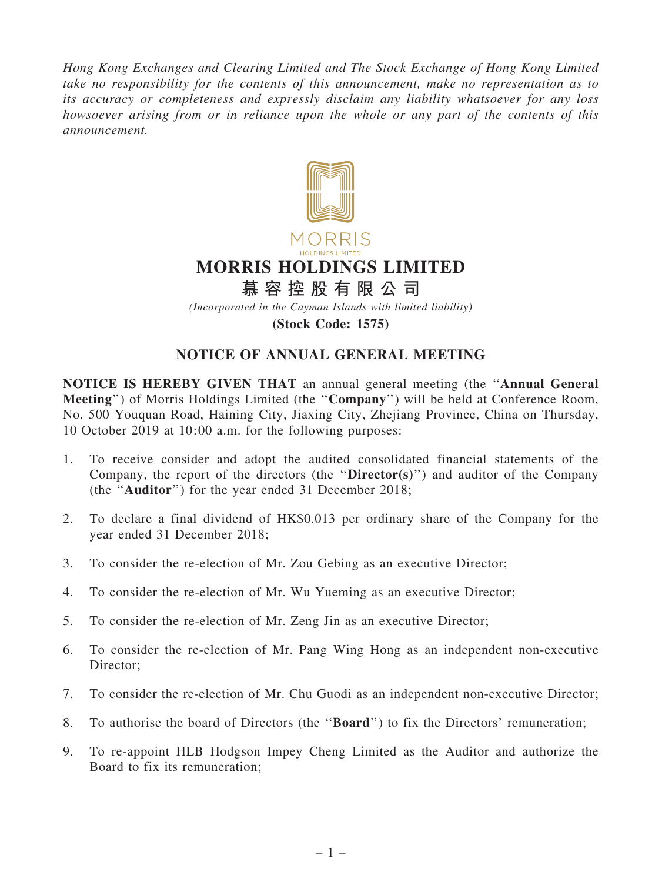*Hong Kong Exchanges and Clearing Limited and The Stock Exchange of Hong Kong Limited take no responsibility for the contents of this announcement, make no representation as to its accuracy or completeness and expressly disclaim any liability whatsoever for any loss howsoever arising from or in reliance upon the whole or any part of the contents of this announcement.*



(Stock Code: 1575)

## NOTICE OF ANNUAL GENERAL MEETING

NOTICE IS HEREBY GIVEN THAT an annual general meeting (the ''Annual General Meeting'') of Morris Holdings Limited (the ''Company'') will be held at Conference Room, No. 500 Youquan Road, Haining City, Jiaxing City, Zhejiang Province, China on Thursday, 10 October 2019 at 10:00 a.m. for the following purposes:

- 1. To receive consider and adopt the audited consolidated financial statements of the Company, the report of the directors (the " $\text{Directory}$ ) and auditor of the Company (the ''Auditor'') for the year ended 31 December 2018;
- 2. To declare a final dividend of HK\$0.013 per ordinary share of the Company for the year ended 31 December 2018;
- 3. To consider the re-election of Mr. Zou Gebing as an executive Director;
- 4. To consider the re-election of Mr. Wu Yueming as an executive Director;
- 5. To consider the re-election of Mr. Zeng Jin as an executive Director;
- 6. To consider the re-election of Mr. Pang Wing Hong as an independent non-executive Director:
- 7. To consider the re-election of Mr. Chu Guodi as an independent non-executive Director;
- 8. To authorise the board of Directors (the ''Board'') to fix the Directors' remuneration;
- 9. To re-appoint HLB Hodgson Impey Cheng Limited as the Auditor and authorize the Board to fix its remuneration;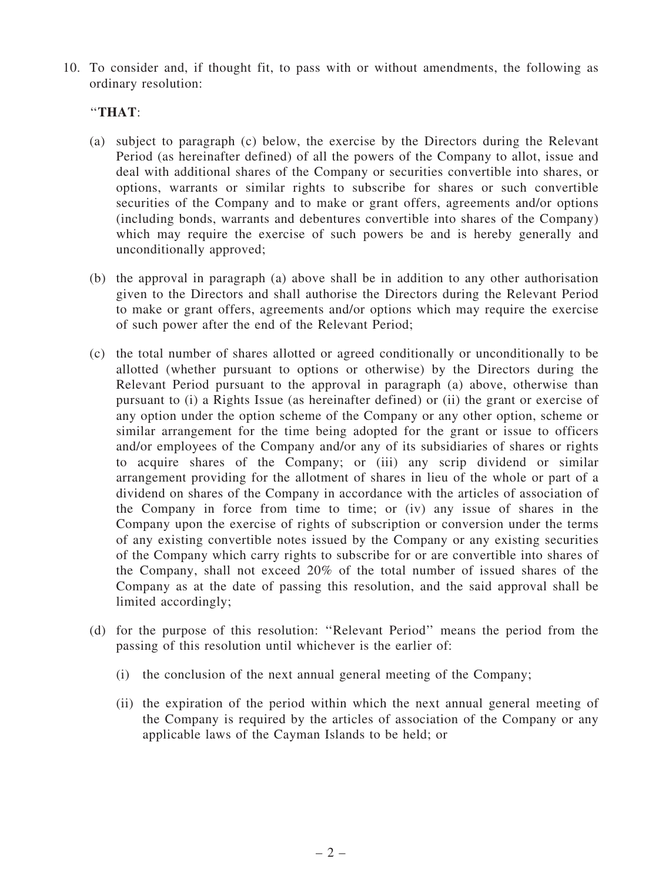10. To consider and, if thought fit, to pass with or without amendments, the following as ordinary resolution:

## ''THAT:

- (a) subject to paragraph (c) below, the exercise by the Directors during the Relevant Period (as hereinafter defined) of all the powers of the Company to allot, issue and deal with additional shares of the Company or securities convertible into shares, or options, warrants or similar rights to subscribe for shares or such convertible securities of the Company and to make or grant offers, agreements and/or options (including bonds, warrants and debentures convertible into shares of the Company) which may require the exercise of such powers be and is hereby generally and unconditionally approved;
- (b) the approval in paragraph (a) above shall be in addition to any other authorisation given to the Directors and shall authorise the Directors during the Relevant Period to make or grant offers, agreements and/or options which may require the exercise of such power after the end of the Relevant Period;
- (c) the total number of shares allotted or agreed conditionally or unconditionally to be allotted (whether pursuant to options or otherwise) by the Directors during the Relevant Period pursuant to the approval in paragraph (a) above, otherwise than pursuant to (i) a Rights Issue (as hereinafter defined) or (ii) the grant or exercise of any option under the option scheme of the Company or any other option, scheme or similar arrangement for the time being adopted for the grant or issue to officers and/or employees of the Company and/or any of its subsidiaries of shares or rights to acquire shares of the Company; or (iii) any scrip dividend or similar arrangement providing for the allotment of shares in lieu of the whole or part of a dividend on shares of the Company in accordance with the articles of association of the Company in force from time to time; or (iv) any issue of shares in the Company upon the exercise of rights of subscription or conversion under the terms of any existing convertible notes issued by the Company or any existing securities of the Company which carry rights to subscribe for or are convertible into shares of the Company, shall not exceed 20% of the total number of issued shares of the Company as at the date of passing this resolution, and the said approval shall be limited accordingly;
- (d) for the purpose of this resolution: ''Relevant Period'' means the period from the passing of this resolution until whichever is the earlier of:
	- (i) the conclusion of the next annual general meeting of the Company;
	- (ii) the expiration of the period within which the next annual general meeting of the Company is required by the articles of association of the Company or any applicable laws of the Cayman Islands to be held; or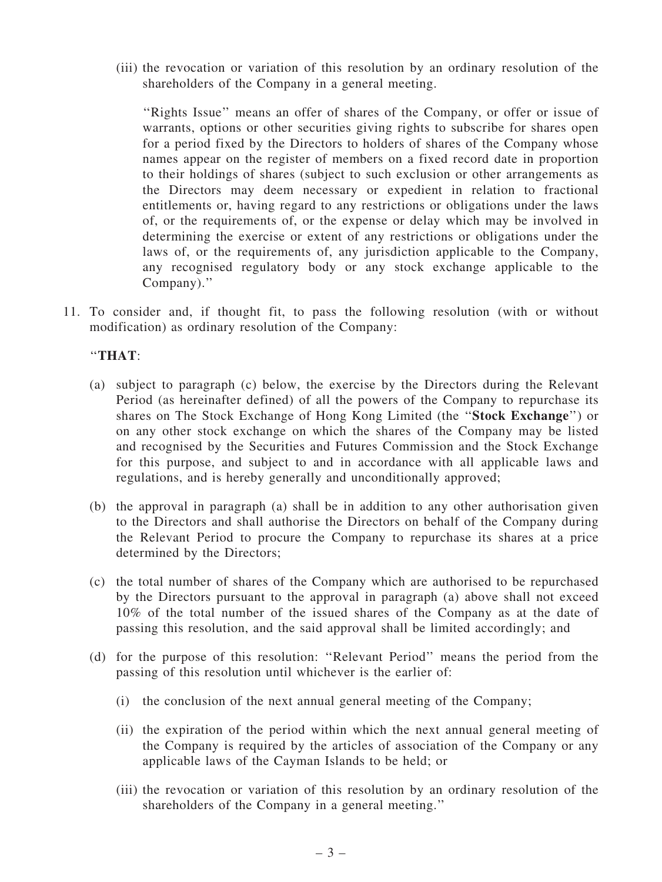(iii) the revocation or variation of this resolution by an ordinary resolution of the shareholders of the Company in a general meeting.

''Rights Issue'' means an offer of shares of the Company, or offer or issue of warrants, options or other securities giving rights to subscribe for shares open for a period fixed by the Directors to holders of shares of the Company whose names appear on the register of members on a fixed record date in proportion to their holdings of shares (subject to such exclusion or other arrangements as the Directors may deem necessary or expedient in relation to fractional entitlements or, having regard to any restrictions or obligations under the laws of, or the requirements of, or the expense or delay which may be involved in determining the exercise or extent of any restrictions or obligations under the laws of, or the requirements of, any jurisdiction applicable to the Company, any recognised regulatory body or any stock exchange applicable to the Company).''

11. To consider and, if thought fit, to pass the following resolution (with or without modification) as ordinary resolution of the Company:

## ''THAT:

- (a) subject to paragraph (c) below, the exercise by the Directors during the Relevant Period (as hereinafter defined) of all the powers of the Company to repurchase its shares on The Stock Exchange of Hong Kong Limited (the ''Stock Exchange'') or on any other stock exchange on which the shares of the Company may be listed and recognised by the Securities and Futures Commission and the Stock Exchange for this purpose, and subject to and in accordance with all applicable laws and regulations, and is hereby generally and unconditionally approved;
- (b) the approval in paragraph (a) shall be in addition to any other authorisation given to the Directors and shall authorise the Directors on behalf of the Company during the Relevant Period to procure the Company to repurchase its shares at a price determined by the Directors;
- (c) the total number of shares of the Company which are authorised to be repurchased by the Directors pursuant to the approval in paragraph (a) above shall not exceed 10% of the total number of the issued shares of the Company as at the date of passing this resolution, and the said approval shall be limited accordingly; and
- (d) for the purpose of this resolution: ''Relevant Period'' means the period from the passing of this resolution until whichever is the earlier of:
	- (i) the conclusion of the next annual general meeting of the Company;
	- (ii) the expiration of the period within which the next annual general meeting of the Company is required by the articles of association of the Company or any applicable laws of the Cayman Islands to be held; or
	- (iii) the revocation or variation of this resolution by an ordinary resolution of the shareholders of the Company in a general meeting.''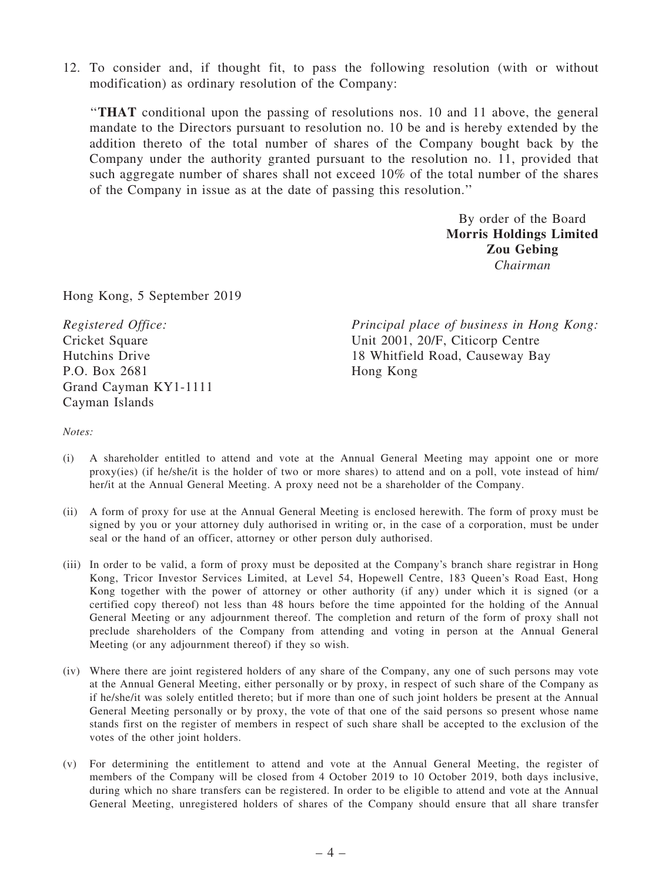12. To consider and, if thought fit, to pass the following resolution (with or without modification) as ordinary resolution of the Company:

''THAT conditional upon the passing of resolutions nos. 10 and 11 above, the general mandate to the Directors pursuant to resolution no. 10 be and is hereby extended by the addition thereto of the total number of shares of the Company bought back by the Company under the authority granted pursuant to the resolution no. 11, provided that such aggregate number of shares shall not exceed 10% of the total number of the shares of the Company in issue as at the date of passing this resolution.''

> By order of the Board Morris Holdings Limited Zou Gebing *Chairman*

Hong Kong, 5 September 2019

*Registered Office:* Cricket Square Hutchins Drive P.O. Box 2681 Grand Cayman KY1-1111 Cayman Islands

*Principal place of business in Hong Kong:* Unit 2001, 20/F, Citicorp Centre 18 Whitfield Road, Causeway Bay Hong Kong

*Notes:*

- (i) A shareholder entitled to attend and vote at the Annual General Meeting may appoint one or more proxy(ies) (if he/she/it is the holder of two or more shares) to attend and on a poll, vote instead of him/ her/it at the Annual General Meeting. A proxy need not be a shareholder of the Company.
- (ii) A form of proxy for use at the Annual General Meeting is enclosed herewith. The form of proxy must be signed by you or your attorney duly authorised in writing or, in the case of a corporation, must be under seal or the hand of an officer, attorney or other person duly authorised.
- (iii) In order to be valid, a form of proxy must be deposited at the Company's branch share registrar in Hong Kong, Tricor Investor Services Limited, at Level 54, Hopewell Centre, 183 Queen's Road East, Hong Kong together with the power of attorney or other authority (if any) under which it is signed (or a certified copy thereof) not less than 48 hours before the time appointed for the holding of the Annual General Meeting or any adjournment thereof. The completion and return of the form of proxy shall not preclude shareholders of the Company from attending and voting in person at the Annual General Meeting (or any adjournment thereof) if they so wish.
- (iv) Where there are joint registered holders of any share of the Company, any one of such persons may vote at the Annual General Meeting, either personally or by proxy, in respect of such share of the Company as if he/she/it was solely entitled thereto; but if more than one of such joint holders be present at the Annual General Meeting personally or by proxy, the vote of that one of the said persons so present whose name stands first on the register of members in respect of such share shall be accepted to the exclusion of the votes of the other joint holders.
- (v) For determining the entitlement to attend and vote at the Annual General Meeting, the register of members of the Company will be closed from 4 October 2019 to 10 October 2019, both days inclusive, during which no share transfers can be registered. In order to be eligible to attend and vote at the Annual General Meeting, unregistered holders of shares of the Company should ensure that all share transfer